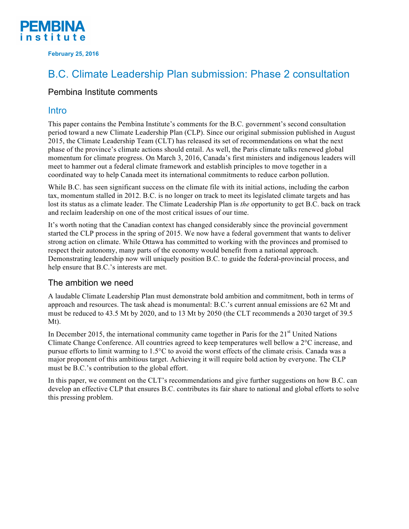

**February 25, 2016**

# B.C. Climate Leadership Plan submission: Phase 2 consultation

### Pembina Institute comments

## Intro

This paper contains the Pembina Institute's comments for the B.C. government's second consultation period toward a new Climate Leadership Plan (CLP). Since our original submission published in August 2015, the Climate Leadership Team (CLT) has released its set of recommendations on what the next phase of the province's climate actions should entail. As well, the Paris climate talks renewed global momentum for climate progress. On March 3, 2016, Canada's first ministers and indigenous leaders will meet to hammer out a federal climate framework and establish principles to move together in a coordinated way to help Canada meet its international commitments to reduce carbon pollution.

While B.C. has seen significant success on the climate file with its initial actions, including the carbon tax, momentum stalled in 2012. B.C. is no longer on track to meet its legislated climate targets and has lost its status as a climate leader. The Climate Leadership Plan is *the* opportunity to get B.C. back on track and reclaim leadership on one of the most critical issues of our time.

It's worth noting that the Canadian context has changed considerably since the provincial government started the CLP process in the spring of 2015. We now have a federal government that wants to deliver strong action on climate. While Ottawa has committed to working with the provinces and promised to respect their autonomy, many parts of the economy would benefit from a national approach. Demonstrating leadership now will uniquely position B.C. to guide the federal-provincial process, and help ensure that B.C.'s interests are met.

## The ambition we need

A laudable Climate Leadership Plan must demonstrate bold ambition and commitment, both in terms of approach and resources. The task ahead is monumental: B.C.'s current annual emissions are 62 Mt and must be reduced to 43.5 Mt by 2020, and to 13 Mt by 2050 (the CLT recommends a 2030 target of 39.5 Mt).

In December 2015, the international community came together in Paris for the 21<sup>st</sup> United Nations Climate Change Conference. All countries agreed to keep temperatures well bellow a 2°C increase, and pursue efforts to limit warming to 1.5°C to avoid the worst effects of the climate crisis. Canada was a major proponent of this ambitious target. Achieving it will require bold action by everyone. The CLP must be B.C.'s contribution to the global effort.

In this paper, we comment on the CLT's recommendations and give further suggestions on how B.C. can develop an effective CLP that ensures B.C. contributes its fair share to national and global efforts to solve this pressing problem.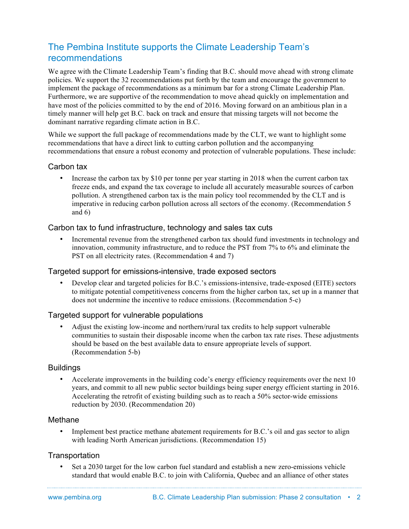## The Pembina Institute supports the Climate Leadership Team's recommendations

We agree with the Climate Leadership Team's finding that B.C. should move ahead with strong climate policies. We support the 32 recommendations put forth by the team and encourage the government to implement the package of recommendations as a minimum bar for a strong Climate Leadership Plan. Furthermore, we are supportive of the recommendation to move ahead quickly on implementation and have most of the policies committed to by the end of 2016. Moving forward on an ambitious plan in a timely manner will help get B.C. back on track and ensure that missing targets will not become the dominant narrative regarding climate action in B.C.

While we support the full package of recommendations made by the CLT, we want to highlight some recommendations that have a direct link to cutting carbon pollution and the accompanying recommendations that ensure a robust economy and protection of vulnerable populations. These include:

#### Carbon tax

• Increase the carbon tax by \$10 per tonne per year starting in 2018 when the current carbon tax freeze ends, and expand the tax coverage to include all accurately measurable sources of carbon pollution. A strengthened carbon tax is the main policy tool recommended by the CLT and is imperative in reducing carbon pollution across all sectors of the economy. (Recommendation 5 and  $6)$ 

#### Carbon tax to fund infrastructure, technology and sales tax cuts

• Incremental revenue from the strengthened carbon tax should fund investments in technology and innovation, community infrastructure, and to reduce the PST from 7% to 6% and eliminate the PST on all electricity rates. (Recommendation 4 and 7)

#### Targeted support for emissions-intensive, trade exposed sectors

• Develop clear and targeted policies for B.C.'s emissions-intensive, trade-exposed (EITE) sectors to mitigate potential competitiveness concerns from the higher carbon tax, set up in a manner that does not undermine the incentive to reduce emissions. (Recommendation 5-c)

#### Targeted support for vulnerable populations

• Adjust the existing low-income and northern/rural tax credits to help support vulnerable communities to sustain their disposable income when the carbon tax rate rises. These adjustments should be based on the best available data to ensure appropriate levels of support. (Recommendation 5-b)

#### Buildings

• Accelerate improvements in the building code's energy efficiency requirements over the next 10 years, and commit to all new public sector buildings being super energy efficient starting in 2016. Accelerating the retrofit of existing building such as to reach a 50% sector-wide emissions reduction by 2030. (Recommendation 20)

#### Methane

• Implement best practice methane abatement requirements for B.C.'s oil and gas sector to align with leading North American jurisdictions. (Recommendation 15)

#### **Transportation**

• Set a 2030 target for the low carbon fuel standard and establish a new zero-emissions vehicle standard that would enable B.C. to join with California, Quebec and an alliance of other states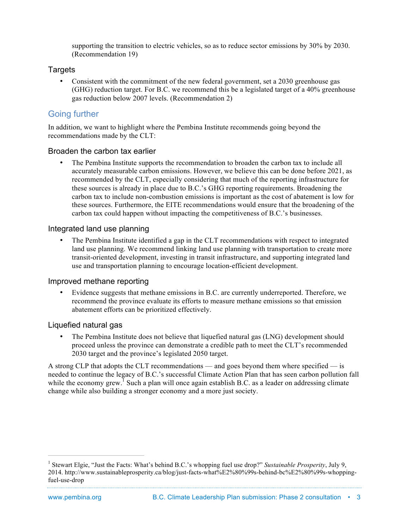supporting the transition to electric vehicles, so as to reduce sector emissions by 30% by 2030. (Recommendation 19)

#### Targets

• Consistent with the commitment of the new federal government, set a 2030 greenhouse gas (GHG) reduction target. For B.C. we recommend this be a legislated target of a 40% greenhouse gas reduction below 2007 levels. (Recommendation 2)

## Going further

In addition, we want to highlight where the Pembina Institute recommends going beyond the recommendations made by the CLT:

#### Broaden the carbon tax earlier

• The Pembina Institute supports the recommendation to broaden the carbon tax to include all accurately measurable carbon emissions. However, we believe this can be done before 2021, as recommended by the CLT, especially considering that much of the reporting infrastructure for these sources is already in place due to B.C.'s GHG reporting requirements. Broadening the carbon tax to include non-combustion emissions is important as the cost of abatement is low for these sources. Furthermore, the EITE recommendations would ensure that the broadening of the carbon tax could happen without impacting the competitiveness of B.C.'s businesses.

#### Integrated land use planning

• The Pembina Institute identified a gap in the CLT recommendations with respect to integrated land use planning. We recommend linking land use planning with transportation to create more transit-oriented development, investing in transit infrastructure, and supporting integrated land use and transportation planning to encourage location-efficient development.

#### Improved methane reporting

• Evidence suggests that methane emissions in B.C. are currently underreported. Therefore, we recommend the province evaluate its efforts to measure methane emissions so that emission abatement efforts can be prioritized effectively.

#### Liquefied natural gas

• The Pembina Institute does not believe that liquefied natural gas (LNG) development should proceed unless the province can demonstrate a credible path to meet the CLT's recommended 2030 target and the province's legislated 2050 target.

A strong CLP that adopts the CLT recommendations — and goes beyond them where specified — is needed to continue the legacy of B.C.'s successful Climate Action Plan that has seen carbon pollution fall while the economy grew.<sup>1</sup> Such a plan will once again establish B.C. as a leader on addressing climate change while also building a stronger economy and a more just society.

 <sup>1</sup> Stewart Elgie, "Just the Facts: What's behind B.C.'s whopping fuel use drop?" *Sustainable Prosperity*, July 9, 2014. http://www.sustainableprosperity.ca/blog/just-facts-what%E2%80%99s-behind-bc%E2%80%99s-whoppingfuel-use-drop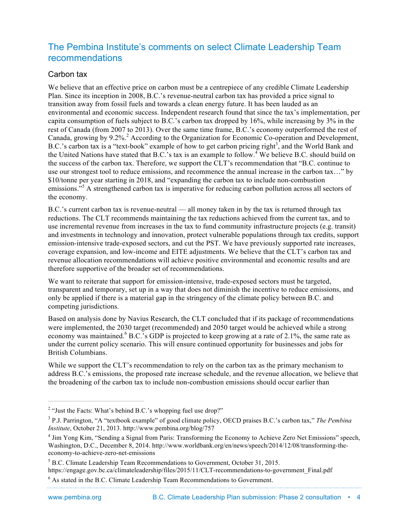## The Pembina Institute's comments on select Climate Leadership Team recommendations

#### Carbon tax

We believe that an effective price on carbon must be a centrepiece of any credible Climate Leadership Plan. Since its inception in 2008, B.C.'s revenue-neutral carbon tax has provided a price signal to transition away from fossil fuels and towards a clean energy future. It has been lauded as an environmental and economic success. Independent research found that since the tax's implementation, per capita consumption of fuels subject to B.C.'s carbon tax dropped by 16%, while increasing by 3% in the rest of Canada (from 2007 to 2013). Over the same time frame, B.C.'s economy outperformed the rest of Canada, growing by 9.2%.<sup>2</sup> According to the Organization for Economic Co-operation and Development, B.C.'s carbon tax is a "text-book" example of how to get carbon pricing right<sup>3</sup>, and the World Bank and the United Nations have stated that B.C.'s tax is an example to follow.<sup>4</sup> We believe B.C. should build on the success of the carbon tax. Therefore, we support the CLT's recommendation that "B.C. continue to use our strongest tool to reduce emissions, and recommence the annual increase in the carbon tax…" by \$10/tonne per year starting in 2018, and "expanding the carbon tax to include non-combustion emissions.<sup>35</sup> A strengthened carbon tax is imperative for reducing carbon pollution across all sectors of the economy.

B.C.'s current carbon tax is revenue-neutral — all money taken in by the tax is returned through tax reductions. The CLT recommends maintaining the tax reductions achieved from the current tax, and to use incremental revenue from increases in the tax to fund community infrastructure projects (e.g. transit) and investments in technology and innovation, protect vulnerable populations through tax credits, support emission-intensive trade-exposed sectors, and cut the PST. We have previously supported rate increases, coverage expansion, and low-income and EITE adjustments. We believe that the CLT's carbon tax and revenue allocation recommendations will achieve positive environmental and economic results and are therefore supportive of the broader set of recommendations.

We want to reiterate that support for emission-intensive, trade-exposed sectors must be targeted, transparent and temporary, set up in a way that does not diminish the incentive to reduce emissions, and only be applied if there is a material gap in the stringency of the climate policy between B.C. and competing jurisdictions.

Based on analysis done by Navius Research, the CLT concluded that if its package of recommendations were implemented, the 2030 target (recommended) and 2050 target would be achieved while a strong economy was maintained.<sup>6</sup> B.C.'s GDP is projected to keep growing at a rate of 2.1%, the same rate as under the current policy scenario. This will ensure continued opportunity for businesses and jobs for British Columbians.

While we support the CLT's recommendation to rely on the carbon tax as the primary mechanism to address B.C.'s emissions, the proposed rate increase schedule, and the revenue allocation, we believe that the broadening of the carbon tax to include non-combustion emissions should occur earlier than

<sup>&</sup>lt;sup>2</sup> "Just the Facts: What's behind B.C.'s whopping fuel use drop?"

<sup>3</sup> P.J. Parrington, "A "textbook example" of good climate policy, OECD praises B.C.'s carbon tax," *The Pembina Institute*, October 21, 2013. http://www.pembina.org/blog/757

<sup>&</sup>lt;sup>4</sup> Jim Yong Kim, "Sending a Signal from Paris: Transforming the Economy to Achieve Zero Net Emissions" speech, Washington, D.C., December 8, 2014. http://www.worldbank.org/en/news/speech/2014/12/08/transforming-theeconomy-to-achieve-zero-net-emissions

<sup>5</sup> B.C. Climate Leadership Team Recommendations to Government, October 31, 2015. https://engage.gov.bc.ca/climateleadership/files/2015/11/CLT-recommendations-to-government\_Final.pdf

<sup>6</sup> As stated in the B.C. Climate Leadership Team Recommendations to Government.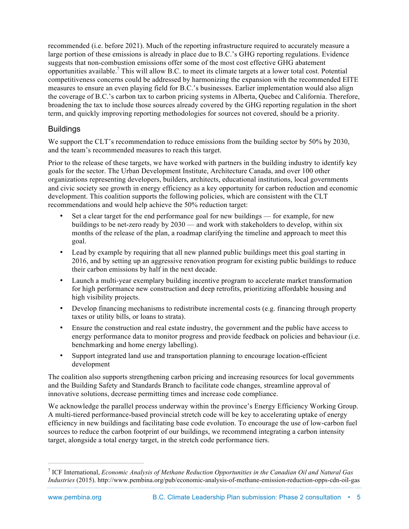recommended (i.e. before 2021). Much of the reporting infrastructure required to accurately measure a large portion of these emissions is already in place due to B.C.'s GHG reporting regulations. Evidence suggests that non-combustion emissions offer some of the most cost effective GHG abatement opportunities available.<sup>7</sup> This will allow B.C. to meet its climate targets at a lower total cost. Potential competitiveness concerns could be addressed by harmonizing the expansion with the recommended EITE measures to ensure an even playing field for B.C.'s businesses. Earlier implementation would also align the coverage of B.C.'s carbon tax to carbon pricing systems in Alberta, Quebec and California. Therefore, broadening the tax to include those sources already covered by the GHG reporting regulation in the short term, and quickly improving reporting methodologies for sources not covered, should be a priority.

#### Buildings

We support the CLT's recommendation to reduce emissions from the building sector by 50% by 2030, and the team's recommended measures to reach this target.

Prior to the release of these targets, we have worked with partners in the building industry to identify key goals for the sector. The Urban Development Institute, Architecture Canada, and over 100 other organizations representing developers, builders, architects, educational institutions, local governments and civic society see growth in energy efficiency as a key opportunity for carbon reduction and economic development. This coalition supports the following policies, which are consistent with the CLT recommendations and would help achieve the 50% reduction target:

- Set a clear target for the end performance goal for new buildings for example, for new buildings to be net-zero ready by 2030 — and work with stakeholders to develop, within six months of the release of the plan, a roadmap clarifying the timeline and approach to meet this goal.
- Lead by example by requiring that all new planned public buildings meet this goal starting in 2016, and by setting up an aggressive renovation program for existing public buildings to reduce their carbon emissions by half in the next decade.
- Launch a multi-year exemplary building incentive program to accelerate market transformation for high performance new construction and deep retrofits, prioritizing affordable housing and high visibility projects.
- Develop financing mechanisms to redistribute incremental costs (e.g. financing through property taxes or utility bills, or loans to strata).
- Ensure the construction and real estate industry, the government and the public have access to energy performance data to monitor progress and provide feedback on policies and behaviour (i.e. benchmarking and home energy labelling).
- Support integrated land use and transportation planning to encourage location-efficient development

The coalition also supports strengthening carbon pricing and increasing resources for local governments and the Building Safety and Standards Branch to facilitate code changes, streamline approval of innovative solutions, decrease permitting times and increase code compliance.

We acknowledge the parallel process underway within the province's Energy Efficiency Working Group. A multi-tiered performance-based provincial stretch code will be key to accelerating uptake of energy efficiency in new buildings and facilitating base code evolution. To encourage the use of low-carbon fuel sources to reduce the carbon footprint of our buildings, we recommend integrating a carbon intensity target, alongside a total energy target, in the stretch code performance tiers.

 <sup>7</sup> ICF International, *Economic Analysis of Methane Reduction Opportunities in the Canadian Oil and Natural Gas Industries* (2015). http://www.pembina.org/pub/economic-analysis-of-methane-emission-reduction-opps-cdn-oil-gas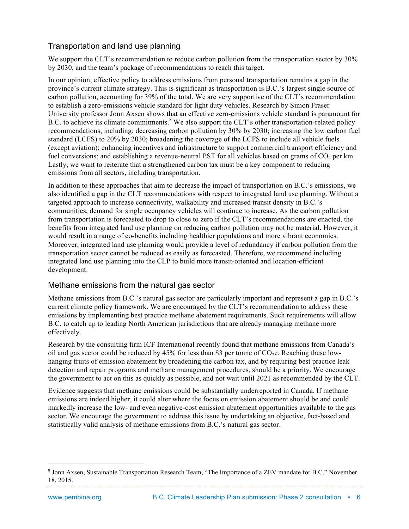## Transportation and land use planning

We support the CLT's recommendation to reduce carbon pollution from the transportation sector by 30% by 2030, and the team's package of recommendations to reach this target.

In our opinion, effective policy to address emissions from personal transportation remains a gap in the province's current climate strategy. This is significant as transportation is B.C.'s largest single source of carbon pollution, accounting for 39% of the total. We are very supportive of the CLT's recommendation to establish a zero-emissions vehicle standard for light duty vehicles. Research by Simon Fraser University professor Jonn Axsen shows that an effective zero-emissions vehicle standard is paramount for B.C. to achieve its climate commitments.<sup>8</sup> We also support the CLT's other transportation-related policy recommendations, including: decreasing carbon pollution by 30% by 2030; increasing the low carbon fuel standard (LCFS) to 20% by 2030; broadening the coverage of the LCFS to include all vehicle fuels (except aviation); enhancing incentives and infrastructure to support commercial transport efficiency and fuel conversions; and establishing a revenue-neutral PST for all vehicles based on grams of  $CO<sub>2</sub>$  per km. Lastly, we want to reiterate that a strengthened carbon tax must be a key component to reducing emissions from all sectors, including transportation.

In addition to these approaches that aim to decrease the impact of transportation on B.C.'s emissions, we also identified a gap in the CLT recommendations with respect to integrated land use planning. Without a targeted approach to increase connectivity, walkability and increased transit density in B.C.'s communities, demand for single occupancy vehicles will continue to increase. As the carbon pollution from transportation is forecasted to drop to close to zero if the CLT's recommendations are enacted, the benefits from integrated land use planning on reducing carbon pollution may not be material. However, it would result in a range of co-benefits including healthier populations and more vibrant economies. Moreover, integrated land use planning would provide a level of redundancy if carbon pollution from the transportation sector cannot be reduced as easily as forecasted. Therefore, we recommend including integrated land use planning into the CLP to build more transit-oriented and location-efficient development.

#### Methane emissions from the natural gas sector

Methane emissions from B.C.'s natural gas sector are particularly important and represent a gap in B.C.'s current climate policy framework. We are encouraged by the CLT's recommendation to address these emissions by implementing best practice methane abatement requirements. Such requirements will allow B.C. to catch up to leading North American jurisdictions that are already managing methane more effectively.

Research by the consulting firm ICF International recently found that methane emissions from Canada's oil and gas sector could be reduced by 45% for less than \$3 per tonne of  $CO<sub>2</sub>e$ . Reaching these lowhanging fruits of emission abatement by broadening the carbon tax, and by requiring best practice leak detection and repair programs and methane management procedures, should be a priority. We encourage the government to act on this as quickly as possible, and not wait until 2021 as recommended by the CLT.

Evidence suggests that methane emissions could be substantially underreported in Canada. If methane emissions are indeed higher, it could alter where the focus on emission abatement should be and could markedly increase the low- and even negative-cost emission abatement opportunities available to the gas sector. We encourage the government to address this issue by undertaking an objective, fact-based and statistically valid analysis of methane emissions from B.C.'s natural gas sector.

 <sup>8</sup> Jonn Axsen, Sustainable Transportation Research Team, "The Importance of a ZEV mandate for B.C." November 18, 2015.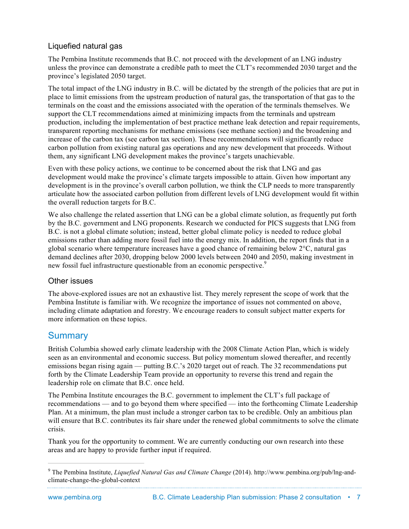### Liquefied natural gas

The Pembina Institute recommends that B.C. not proceed with the development of an LNG industry unless the province can demonstrate a credible path to meet the CLT's recommended 2030 target and the province's legislated 2050 target.

The total impact of the LNG industry in B.C. will be dictated by the strength of the policies that are put in place to limit emissions from the upstream production of natural gas, the transportation of that gas to the terminals on the coast and the emissions associated with the operation of the terminals themselves. We support the CLT recommendations aimed at minimizing impacts from the terminals and upstream production, including the implementation of best practice methane leak detection and repair requirements, transparent reporting mechanisms for methane emissions (see methane section) and the broadening and increase of the carbon tax (see carbon tax section). These recommendations will significantly reduce carbon pollution from existing natural gas operations and any new development that proceeds. Without them, any significant LNG development makes the province's targets unachievable.

Even with these policy actions, we continue to be concerned about the risk that LNG and gas development would make the province's climate targets impossible to attain. Given how important any development is in the province's overall carbon pollution, we think the CLP needs to more transparently articulate how the associated carbon pollution from different levels of LNG development would fit within the overall reduction targets for B.C.

We also challenge the related assertion that LNG can be a global climate solution, as frequently put forth by the B.C. government and LNG proponents. Research we conducted for PICS suggests that LNG from B.C. is not a global climate solution; instead, better global climate policy is needed to reduce global emissions rather than adding more fossil fuel into the energy mix. In addition, the report finds that in a global scenario where temperature increases have a good chance of remaining below 2°C, natural gas demand declines after 2030, dropping below 2000 levels between 2040 and 2050, making investment in new fossil fuel infrastructure questionable from an economic perspective.<sup>9</sup>

#### Other issues

The above-explored issues are not an exhaustive list. They merely represent the scope of work that the Pembina Institute is familiar with. We recognize the importance of issues not commented on above, including climate adaptation and forestry. We encourage readers to consult subject matter experts for more information on these topics.

## **Summary**

British Columbia showed early climate leadership with the 2008 Climate Action Plan, which is widely seen as an environmental and economic success. But policy momentum slowed thereafter, and recently emissions began rising again — putting B.C.'s 2020 target out of reach. The 32 recommendations put forth by the Climate Leadership Team provide an opportunity to reverse this trend and regain the leadership role on climate that B.C. once held.

The Pembina Institute encourages the B.C. government to implement the CLT's full package of recommendations — and to go beyond them where specified — into the forthcoming Climate Leadership Plan. At a minimum, the plan must include a stronger carbon tax to be credible. Only an ambitious plan will ensure that B.C. contributes its fair share under the renewed global commitments to solve the climate crisis.

Thank you for the opportunity to comment. We are currently conducting our own research into these areas and are happy to provide further input if required.

 <sup>9</sup> The Pembina Institute, *Liquefied Natural Gas and Climate Change* (2014). http://www.pembina.org/pub/lng-andclimate-change-the-global-context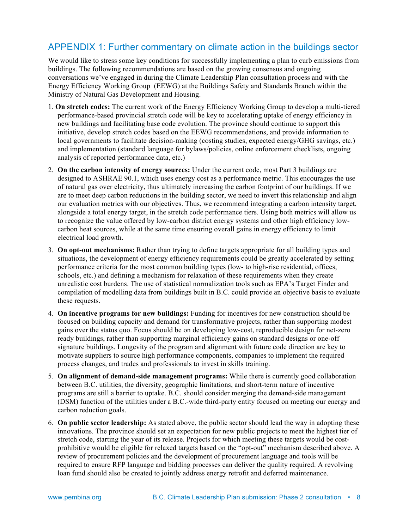## APPENDIX 1: Further commentary on climate action in the buildings sector

We would like to stress some key conditions for successfully implementing a plan to curb emissions from buildings. The following recommendations are based on the growing consensus and ongoing conversations we've engaged in during the Climate Leadership Plan consultation process and with the Energy Efficiency Working Group (EEWG) at the Buildings Safety and Standards Branch within the Ministry of Natural Gas Development and Housing.

- 1. **On stretch codes:** The current work of the Energy Efficiency Working Group to develop a multi-tiered performance-based provincial stretch code will be key to accelerating uptake of energy efficiency in new buildings and facilitating base code evolution. The province should continue to support this initiative, develop stretch codes based on the EEWG recommendations, and provide information to local governments to facilitate decision-making (costing studies, expected energy/GHG savings, etc.) and implementation (standard language for bylaws/policies, online enforcement checklists, ongoing analysis of reported performance data, etc.)
- 2. **On the carbon intensity of energy sources:** Under the current code, most Part 3 buildings are designed to ASHRAE 90.1, which uses energy cost as a performance metric. This encourages the use of natural gas over electricity, thus ultimately increasing the carbon footprint of our buildings. If we are to meet deep carbon reductions in the building sector, we need to invert this relationship and align our evaluation metrics with our objectives. Thus, we recommend integrating a carbon intensity target, alongside a total energy target, in the stretch code performance tiers. Using both metrics will allow us to recognize the value offered by low-carbon district energy systems and other high efficiency lowcarbon heat sources, while at the same time ensuring overall gains in energy efficiency to limit electrical load growth.
- 3. **On opt-out mechanisms:** Rather than trying to define targets appropriate for all building types and situations, the development of energy efficiency requirements could be greatly accelerated by setting performance criteria for the most common building types (low- to high-rise residential, offices, schools, etc.) and defining a mechanism for relaxation of these requirements when they create unrealistic cost burdens. The use of statistical normalization tools such as EPA's Target Finder and compilation of modelling data from buildings built in B.C. could provide an objective basis to evaluate these requests.
- 4. **On incentive programs for new buildings:** Funding for incentives for new construction should be focused on building capacity and demand for transformative projects, rather than supporting modest gains over the status quo. Focus should be on developing low-cost, reproducible design for net-zero ready buildings, rather than supporting marginal efficiency gains on standard designs or one-off signature buildings. Longevity of the program and alignment with future code direction are key to motivate suppliers to source high performance components, companies to implement the required process changes, and trades and professionals to invest in skills training.
- 5. **On alignment of demand-side management programs:** While there is currently good collaboration between B.C. utilities, the diversity, geographic limitations, and short-term nature of incentive programs are still a barrier to uptake. B.C. should consider merging the demand-side management (DSM) function of the utilities under a B.C.-wide third-party entity focused on meeting our energy and carbon reduction goals.
- 6. **On public sector leadership:** As stated above, the public sector should lead the way in adopting these innovations. The province should set an expectation for new public projects to meet the highest tier of stretch code, starting the year of its release. Projects for which meeting these targets would be costprohibitive would be eligible for relaxed targets based on the "opt-out" mechanism described above. A review of procurement policies and the development of procurement language and tools will be required to ensure RFP language and bidding processes can deliver the quality required. A revolving loan fund should also be created to jointly address energy retrofit and deferred maintenance.